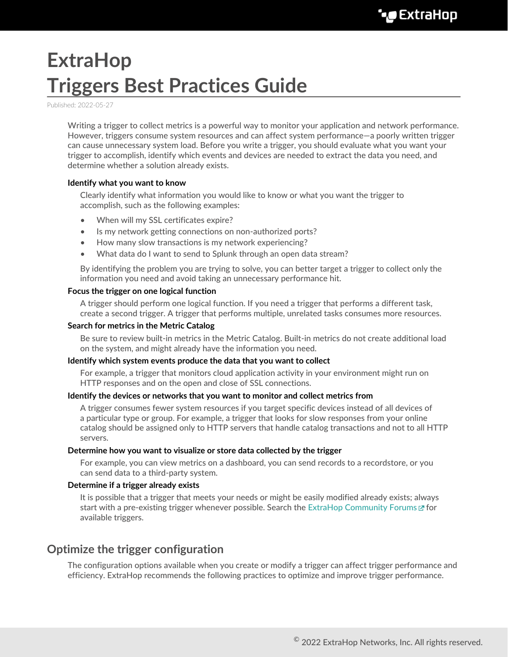## **ExtraHop Triggers Best Practices Guide**

Published: 2022-05-27

Writing a trigger to collect metrics is a powerful way to monitor your application and network performance. However, triggers consume system resources and can affect system performance—a poorly written trigger can cause unnecessary system load. Before you write a trigger, you should evaluate what you want your trigger to accomplish, identify which events and devices are needed to extract the data you need, and determine whether a solution already exists.

#### **Identify what you want to know**

Clearly identify what information you would like to know or what you want the trigger to accomplish, such as the following examples:

- When will my SSL certificates expire?
- Is my network getting connections on non-authorized ports?
- How many slow transactions is my network experiencing?
- What data do I want to send to Splunk through an open data stream?

By identifying the problem you are trying to solve, you can better target a trigger to collect only the information you need and avoid taking an unnecessary performance hit.

#### **Focus the trigger on one logical function**

A trigger should perform one logical function. If you need a trigger that performs a different task, create a second trigger. A trigger that performs multiple, unrelated tasks consumes more resources.

#### **Search for metrics in the Metric Catalog**

Be sure to review built-in metrics in the Metric Catalog. Built-in metrics do not create additional load on the system, and might already have the information you need.

#### **Identify which system events produce the data that you want to collect**

For example, a trigger that monitors cloud application activity in your environment might run on HTTP responses and on the open and close of SSL connections.

#### **Identify the devices or networks that you want to monitor and collect metrics from**

A trigger consumes fewer system resources if you target specific devices instead of all devices of a particular type or group. For example, a trigger that looks for slow responses from your online catalog should be assigned only to HTTP servers that handle catalog transactions and not to all HTTP servers.

#### **Determine how you want to visualize or store data collected by the trigger**

For example, you can view metrics on a dashboard, you can send records to a recordstore, or you can send data to a third-party system.

#### **Determine if a trigger already exists**

It is possible that a trigger that meets your needs or might be easily modified already exists; always start with a pre-existing trigger whenever possible. Search the [ExtraHop Community Forums](https://forums.extrahop.com/c/triggers)  $\sigma$  for available triggers.

## **Optimize the trigger configuration**

The configuration options available when you create or modify a trigger can affect trigger performance and efficiency. ExtraHop recommends the following practices to optimize and improve trigger performance.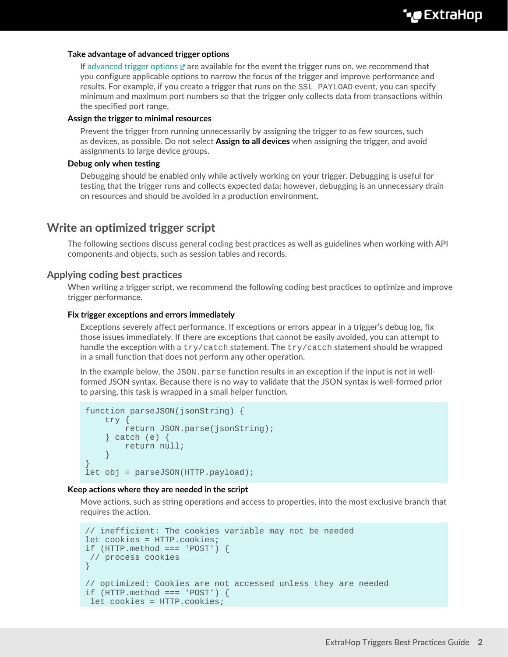#### **Take advantage of advanced trigger options**

If [advanced trigger options](https://docs.extrahop.com/8.9/extrahop-trigger-api/#advanced-trigger-options)  $\mathbb Z$  are available for the event the trigger runs on, we recommend that you configure applicable options to narrow the focus of the trigger and improve performance and results. For example, if you create a trigger that runs on the SSL\_PAYLOAD event, you can specify minimum and maximum port numbers so that the trigger only collects data from transactions within the specified port range.

#### **Assign the trigger to minimal resources**

Prevent the trigger from running unnecessarily by assigning the trigger to as few sources, such as devices, as possible. Do not select **Assign to all devices** when assigning the trigger, and avoid assignments to large device groups.

#### **Debug only when testing**

Debugging should be enabled only while actively working on your trigger. Debugging is useful for testing that the trigger runs and collects expected data; however, debugging is an unnecessary drain on resources and should be avoided in a production environment.

## **Write an optimized trigger script**

The following sections discuss general coding best practices as well as guidelines when working with API components and objects, such as session tables and records.

#### **Applying coding best practices**

When writing a trigger script, we recommend the following coding best practices to optimize and improve trigger performance.

#### **Fix trigger exceptions and errors immediately**

Exceptions severely affect performance. If exceptions or errors appear in a trigger's debug log, fix those issues immediately. If there are exceptions that cannot be easily avoided, you can attempt to handle the exception with a try/catch statement. The try/catch statement should be wrapped in a small function that does not perform any other operation.

In the example below, the  $JSSON$ . parse function results in an exception if the input is not in wellformed JSON syntax. Because there is no way to validate that the JSON syntax is well-formed prior to parsing, this task is wrapped in a small helper function.

```
function parseJSON(jsonString) {
   try {
        return JSON.parse(jsonString);
     } catch (e) {
        return null;
 }
}
let obj = parseJSON(HTTP.payload);
```
#### **Keep actions where they are needed in the script**

Move actions, such as string operations and access to properties, into the most exclusive branch that requires the action.

```
// inefficient: The cookies variable may not be needed
let cookies = HTTP.cookies;
if (HTTP.method === 'POST') {
 // process cookies
}
// optimized: Cookies are not accessed unless they are needed
if (HTTP.method === 'POST') \{ let cookies = HTTP.cookies;
```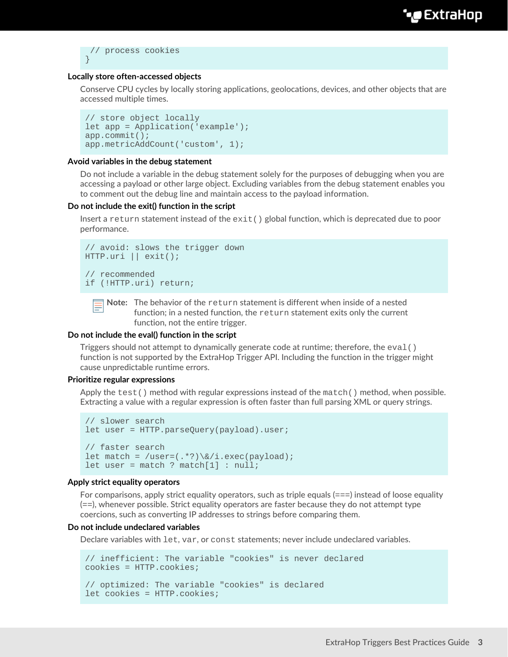```
 // process cookies
}
```
#### **Locally store often-accessed objects**

Conserve CPU cycles by locally storing applications, geolocations, devices, and other objects that are accessed multiple times.

```
// store object locally
let app = Application('example');
app.commit();
app.metricAddCount('custom', 1);
```
#### **Avoid variables in the debug statement**

Do not include a variable in the debug statement solely for the purposes of debugging when you are accessing a payload or other large object. Excluding variables from the debug statement enables you to comment out the debug line and maintain access to the payload information.

#### **Do not include the exit() function in the script**

Insert a return statement instead of the  $exit()$  global function, which is deprecated due to poor performance.

```
// avoid: slows the trigger down
HTTP.uri || exit();
// recommended
if (!HTTP.uri) return;
```
**Note:** The behavior of the return statement is different when inside of a nested function; in a nested function, the return statement exits only the current function, not the entire trigger.

#### **Do not include the eval() function in the script**

Triggers should not attempt to dynamically generate code at runtime; therefore, the  $eval()$ function is not supported by the ExtraHop Trigger API. Including the function in the trigger might cause unpredictable runtime errors.

#### **Prioritize regular expressions**

Apply the test() method with regular expressions instead of the match() method, when possible. Extracting a value with a regular expression is often faster than full parsing XML or query strings.

```
// slower search
let user = HTTP.parseQuery(payload).user;
// faster search
let match = /user=(.*)\times/1.\text{exec(payload)};
let user = match ? match[1] : null;
```
#### **Apply strict equality operators**

For comparisons, apply strict equality operators, such as triple equals  $(==)$  instead of loose equality (==), whenever possible. Strict equality operators are faster because they do not attempt type coercions, such as converting IP addresses to strings before comparing them.

#### **Do not include undeclared variables**

Declare variables with let, var, or const statements; never include undeclared variables.

```
// inefficient: The variable "cookies" is never declared
cookies = HTTP.cookies;
// optimized: The variable "cookies" is declared
let cookies = HTTP.cookies;
```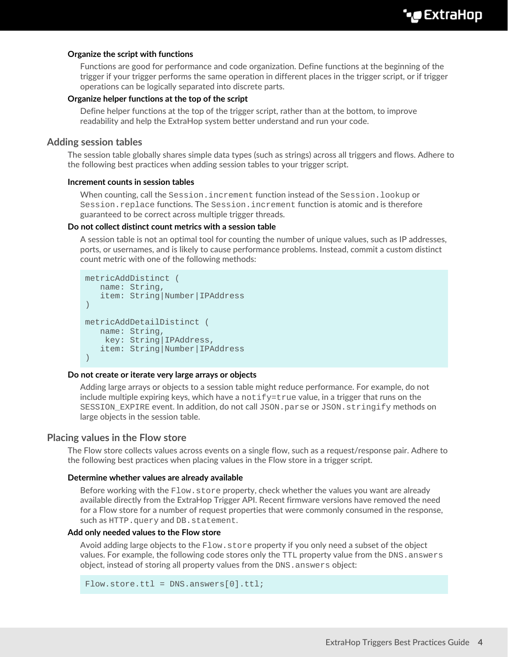#### **Organize the script with functions**

Functions are good for performance and code organization. Define functions at the beginning of the trigger if your trigger performs the same operation in different places in the trigger script, or if trigger operations can be logically separated into discrete parts.

#### **Organize helper functions at the top of the script**

Define helper functions at the top of the trigger script, rather than at the bottom, to improve readability and help the ExtraHop system better understand and run your code.

#### **Adding session tables**

The session table globally shares simple data types (such as strings) across all triggers and flows. Adhere to the following best practices when adding session tables to your trigger script.

#### **Increment counts in session tables**

When counting, call the Session.increment function instead of the Session.lookup or Session.replace functions. The Session.increment function is atomic and is therefore guaranteed to be correct across multiple trigger threads.

#### **Do not collect distinct count metrics with a session table**

A session table is not an optimal tool for counting the number of unique values, such as IP addresses, ports, or usernames, and is likely to cause performance problems. Instead, commit a custom distinct count metric with one of the following methods:

```
metricAddDistinct (
   name: String, 
    item: String|Number|IPAddress
)
metricAddDetailDistinct (
   name: String,
    key: String|IPAddress, 
    item: String|Number|IPAddress
)
```
#### **Do not create or iterate very large arrays or objects**

Adding large arrays or objects to a session table might reduce performance. For example, do not include multiple expiring keys, which have a  $\text{notify}$  = true value, in a trigger that runs on the SESSION EXPIRE event. In addition, do not call JSON.parse or JSON.stringify methods on large objects in the session table.

#### **Placing values in the Flow store**

The Flow store collects values across events on a single flow, such as a request/response pair. Adhere to the following best practices when placing values in the Flow store in a trigger script.

#### **Determine whether values are already available**

Before working with the  $Flow.setore$  property, check whether the values you want are already available directly from the ExtraHop Trigger API. Recent firmware versions have removed the need for a Flow store for a number of request properties that were commonly consumed in the response, such as HTTP.query and DB.statement.

#### **Add only needed values to the Flow store**

Avoid adding large objects to the  $_{\text{Flow}}$  store property if you only need a subset of the object values. For example, the following code stores only the TTL property value from the DNS. answers object, instead of storing all property values from the DNS. answers object:

```
Flow.store.ttl = DNS.answers[0].ttl;
```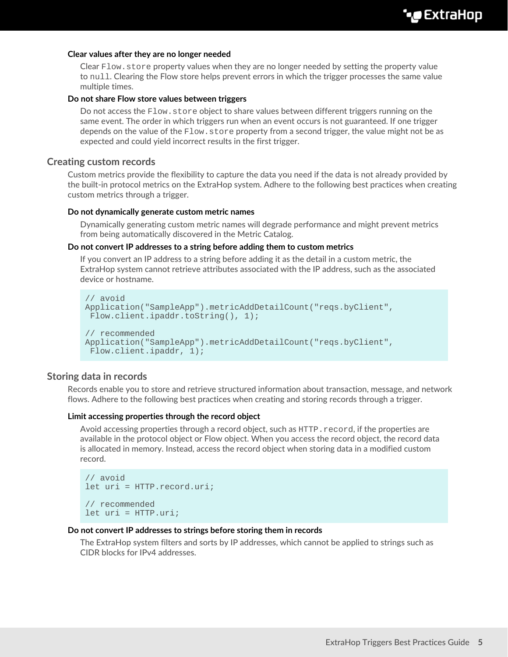#### **Clear values after they are no longer needed**

Clear Flow. store property values when they are no longer needed by setting the property value to null. Clearing the Flow store helps prevent errors in which the trigger processes the same value multiple times.

#### **Do not share Flow store values between triggers**

Do not access the Flow. store object to share values between different triggers running on the same event. The order in which triggers run when an event occurs is not guaranteed. If one trigger depends on the value of the Flow. store property from a second trigger, the value might not be as expected and could yield incorrect results in the first trigger.

#### **Creating custom records**

Custom metrics provide the flexibility to capture the data you need if the data is not already provided by the built-in protocol metrics on the ExtraHop system. Adhere to the following best practices when creating custom metrics through a trigger.

#### **Do not dynamically generate custom metric names**

Dynamically generating custom metric names will degrade performance and might prevent metrics from being automatically discovered in the Metric Catalog.

#### **Do not convert IP addresses to a string before adding them to custom metrics**

If you convert an IP address to a string before adding it as the detail in a custom metric, the ExtraHop system cannot retrieve attributes associated with the IP address, such as the associated device or hostname.

```
// avoid
Application("SampleApp").metricAddDetailCount("reqs.byClient",
 Flow.client.ipaddr.toString(), 1);
// recommended 
Application("SampleApp").metricAddDetailCount("reqs.byClient",
  Flow.client.ipaddr, 1);
```
#### **Storing data in records**

Records enable you to store and retrieve structured information about transaction, message, and network flows. Adhere to the following best practices when creating and storing records through a trigger.

#### **Limit accessing properties through the record object**

Avoid accessing properties through a record object, such as  $HTTP$ . record, if the properties are available in the protocol object or Flow object. When you access the record object, the record data is allocated in memory. Instead, access the record object when storing data in a modified custom record.

```
// avoid
let uri = HTTP.record.uri;
// recommended
let uri = HTTP.uri;
```
#### **Do not convert IP addresses to strings before storing them in records**

The ExtraHop system filters and sorts by IP addresses, which cannot be applied to strings such as CIDR blocks for IPv4 addresses.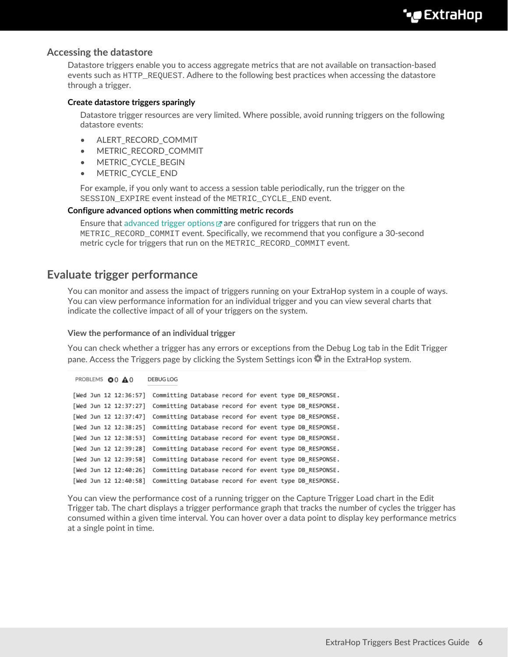### **Accessing the datastore**

Datastore triggers enable you to access aggregate metrics that are not available on transaction-based events such as HTTP\_REQUEST. Adhere to the following best practices when accessing the datastore through a trigger.

#### **Create datastore triggers sparingly**

Datastore trigger resources are very limited. Where possible, avoid running triggers on the following datastore events:

- ALERT\_RECORD\_COMMIT
- METRIC\_RECORD\_COMMIT
- METRIC\_CYCLE\_BEGIN
- METRIC\_CYCLE\_END

For example, if you only want to access a session table periodically, run the trigger on the SESSION\_EXPIRE event instead of the METRIC\_CYCLE\_END event.

#### **Configure advanced options when committing metric records**

Ensure that [advanced trigger options](https://docs.extrahop.com/8.9/extrahop-trigger-api/#advanced-trigger-options)  $\mathbb Z$  are configured for triggers that run on the METRIC\_RECORD\_COMMIT event. Specifically, we recommend that you configure a 30-second metric cycle for triggers that run on the METRIC\_RECORD\_COMMIT event.

## **Evaluate trigger performance**

You can monitor and assess the impact of triggers running on your ExtraHop system in a couple of ways. You can view performance information for an individual trigger and you can view several charts that indicate the collective impact of all of your triggers on the system.

#### **View the performance of an individual trigger**

You can check whether a trigger has any errors or exceptions from the Debug Log tab in the Edit Trigger pane. Access the Triggers page by clicking the System Settings icon in the ExtraHop system.

```
PROBLEMS @0 A0
                     DEBUG LOG
[Wed Jun 12 12:36:57] Committing Database record for event type DB_RESPONSE.
[Wed Jun 12 12:37:27] Committing Database record for event type DB_RESPONSE.
[Wed Jun 12 12:37:47] Committing Database record for event type DB_RESPONSE.
[Wed Jun 12 12:38:25] Committing Database record for event type DB RESPONSE.
[Wed Jun 12 12:38:53] Committing Database record for event type DB_RESPONSE.
[Wed Jun 12 12:39:28] Committing Database record for event type DB_RESPONSE.
[Wed Jun 12 12:39:58] Committing Database record for event type DB_RESPONSE.
[Wed Jun 12 12:40:26] Committing Database record for event type DB_RESPONSE.
[Wed Jun 12 12:40:58] Committing Database record for event type DB_RESPONSE.
```
You can view the performance cost of a running trigger on the Capture Trigger Load chart in the Edit Trigger tab. The chart displays a trigger performance graph that tracks the number of cycles the trigger has consumed within a given time interval. You can hover over a data point to display key performance metrics at a single point in time.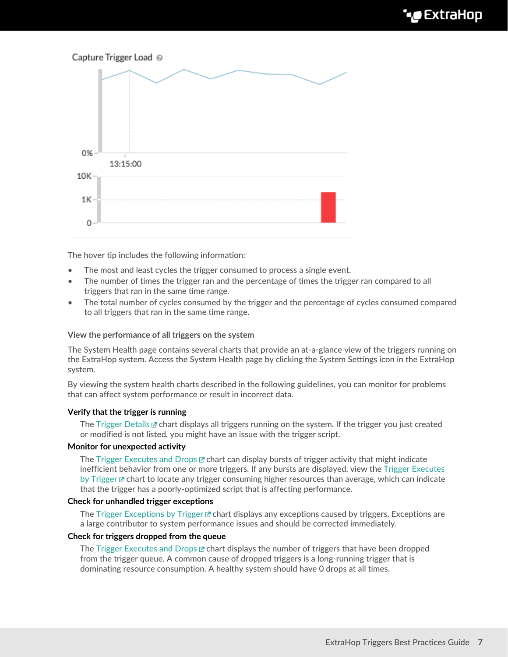# Capture Trigger Load @ 0% 13:15:00  $10K$  $1K$ 0

The hover tip includes the following information:

- The most and least cycles the trigger consumed to process a single event.
- The number of times the trigger ran and the percentage of times the trigger ran compared to all triggers that ran in the same time range.
- The total number of cycles consumed by the trigger and the percentage of cycles consumed compared to all triggers that ran in the same time range.

#### **View the performance of all triggers on the system**

The System Health page contains several charts that provide an at-a-glance view of the triggers running on the ExtraHop system. Access the System Health page by clicking the System Settings icon in the ExtraHop system.

By viewing the system health charts described in the following guidelines, you can monitor for problems that can affect system performance or result in incorrect data.

#### **Verify that the trigger is running**

The [Trigger Details](https://docs.extrahop.com/8.9/system-health-overview/#trigger-details)  $\mathbb Z$  chart displays all triggers running on the system. If the trigger you just created or modified is not listed, you might have an issue with the trigger script.

#### **Monitor for unexpected activity**

The [Trigger Executes and Drops](https://docs.extrahop.com/8.9/system-health-overview/#trigger-executes-and-drops)  $\mathbb Z$  chart can display bursts of trigger activity that might indicate inefficient behavior from one or more triggers. If any bursts are displayed, view the [Trigger Executes](https://docs.extrahop.com/8.9/system-health-overview/#trigger-executes-by-trigger) [by Trigger](https://docs.extrahop.com/8.9/system-health-overview/#trigger-executes-by-trigger)  $\mathbb E$  chart to locate any trigger consuming higher resources than average, which can indicate that the trigger has a poorly-optimized script that is affecting performance.

#### **Check for unhandled trigger exceptions**

The [Trigger Exceptions by Trigger](https://docs.extrahop.com/8.9/system-health-overview/#trigger-exceptions-by-trigger)  $\mathbb Z$  chart displays any exceptions caused by triggers. Exceptions are a large contributor to system performance issues and should be corrected immediately.

#### **Check for triggers dropped from the queue**

The [Trigger Executes and Drops](https://docs.extrahop.com/8.9/system-health-overview/#trigger-executes-and-drops)  $\mathbb Z$  chart displays the number of triggers that have been dropped from the trigger queue. A common cause of dropped triggers is a long-running trigger that is dominating resource consumption. A healthy system should have 0 drops at all times.